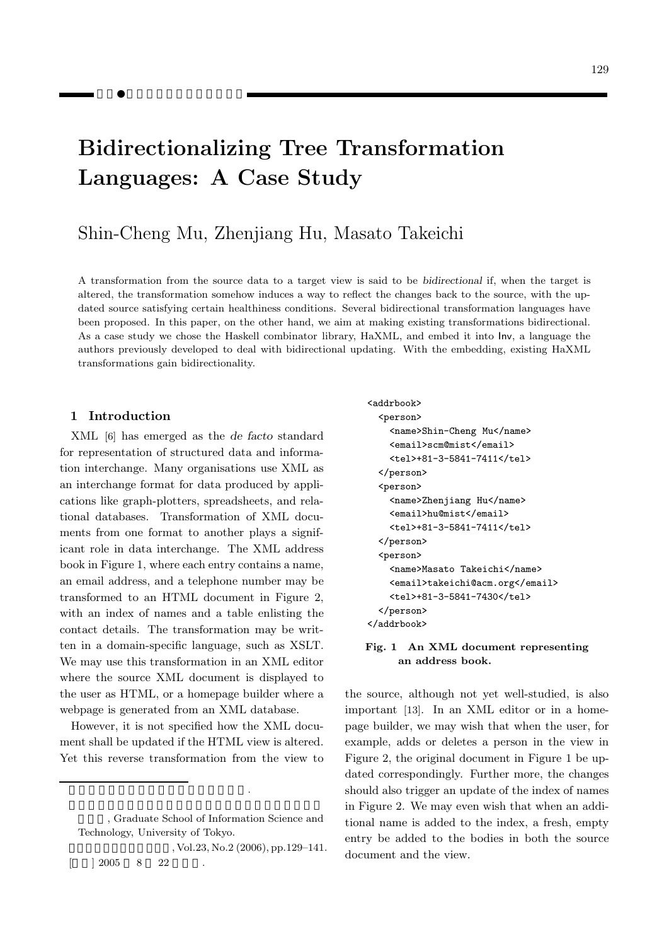# **Bidirectionalizing Tree Transformation Languages: A Case Study**

# $S_{\text{c}}$  Mu,  $S_{\text{c}}$  Mu,  $S_{\text{c}}$  Mu, Masato Takeichiiang Takeichiiang Takeichiiang Takeichiiang Takeichiiang Takeichiiang Takeichiiang Takeichiiang Takeichiiang Takeichiiang Takeichiiang Takeichiiang Takeichiiang Tak

A transformation from the source data to a target view is said to be *bidirectional* if, when the target is altered, the transformation somehow induces a way to reflect the changes back to the source, with the updated source satisfying certain healthiness conditions. Several bidirectional transformation languages have been proposed. In this paper, on the other hand, we aim at making existing transformations bidirectional. As a case study we chose the Haskell combinator library, HaXML, and embed it into Inv, a language the authors previously developed to deal with bidirectional updating. With the embedding, existing HaXML transformations gain bidirectionality.

#### **1 Introduction**

XML [6] has emerged as the *de facto* standard for representation of structured data and information interchange. Many organisations use XML as an interchange format for data produced by applications like graph-plotters, spreadsheets, and relational databases. Transformation of XML documents from one format to another plays a significant role in data interchange. The XML address book in Figure 1, where each entry contains a name, an email address, and a telephone number may be transformed to an HTML document in Figure 2, with an index of names and a table enlisting the contact details. The transformation may be written in a domain-specific language, such as XSLT. We may use this transformation in an XML editor where the source XML document is displayed to the user as HTML, or a homepage builder where a webpage is generated from an XML database.

However, it is not specified how the XML document shall be updated if the HTML view is altered. Yet this reverse transformation from the view to

木変換言語の双方向化に関する事例研究.

, Vol.23, No.2 (2006), pp.129-141.  $\begin{array}{cccc} \n 2005 & 8 & 22\n \end{array}$ 

```
<addrbook>
  <person>
    <name>Shin-Cheng Mu</name>
    <email>scm@mist</email>
    <tel>+81-3-5841-7411</tel>
  </person>
  <person>
    <name>Zhenjiang Hu</name>
    <email>hu@mist</email>
    <tel>+81-3-5841-7411</tel>
  </person>
  <person>
    <name>Masato Takeichi</name>
    <email>takeichi@acm.org</email>
    <tel>+81-3-5841-7430</tel>
  </person>
</addrbook>
```
#### **Fig. 1 An XML document representing an address book.**

the source, although not yet well-studied, is also important [13]. In an XML editor or in a homepage builder, we may wish that when the user, for example, adds or deletes a person in the view in Figure 2, the original document in Figure 1 be updated correspondingly. Further more, the changes should also trigger an update of the index of names in Figure 2. We may even wish that when an additional name is added to the index, a fresh, empty entry be added to the bodies in both the source document and the view.

<sup>,</sup> Graduate School of Information Science and Technology, University of Tokyo.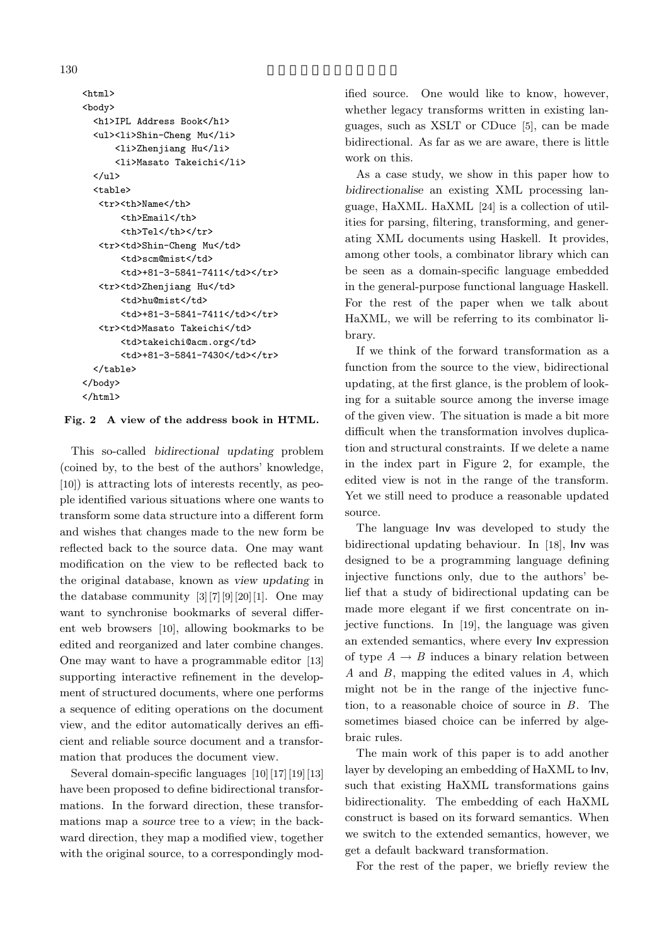<html> <body> <h1>IPL Address Book</h1> <ul><li>Shin-Cheng Mu</li> <li>Zhenjiang Hu</li> <li>Masato Takeichi</li>  $\langle$ /ul> <table> <tr><th>Name</th> <th>Email</th> <th>Tel</th></tr> <tr><td>Shin-Cheng Mu</td> <td>scm@mist</td> <td>+81-3-5841-7411</td></tr> <tr><td>Zhenjiang Hu</td> <td>hu@mist</td> <td>+81-3-5841-7411</td></tr> <tr><td>Masato Takeichi</td> <td>takeichi@acm.org</td> <td>+81-3-5841-7430</td></tr> </table> </body> </html>

#### **Fig. 2 A view of the address book in HTML.**

This so-called *bidirectional updating* problem (coined by, to the best of the authors' knowledge, [10]) is attracting lots of interests recently, as people identified various situations where one wants to transform some data structure into a different form and wishes that changes made to the new form be reflected back to the source data. One may want modification on the view to be reflected back to the original database, known as *view updating* in the database community  $[3][7][9][20][1]$ . One may want to synchronise bookmarks of several different web browsers [10], allowing bookmarks to be edited and reorganized and later combine changes. One may want to have a programmable editor [13] supporting interactive refinement in the development of structured documents, where one performs a sequence of editing operations on the document view, and the editor automatically derives an efficient and reliable source document and a transformation that produces the document view.

Several domain-specific languages [10][17][19][13] have been proposed to define bidirectional transformations. In the forward direction, these transformations map a *source* tree to a *view*; in the backward direction, they map a modified view, together with the original source, to a correspondingly modified source. One would like to know, however, whether legacy transforms written in existing languages, such as XSLT or CDuce [5], can be made bidirectional. As far as we are aware, there is little work on this.

As a case study, we show in this paper how to *bidirectionalise* an existing XML processing language, HaXML. HaXML [24] is a collection of utilities for parsing, filtering, transforming, and generating XML documents using Haskell. It provides, among other tools, a combinator library which can be seen as a domain-specific language embedded in the general-purpose functional language Haskell. For the rest of the paper when we talk about HaXML, we will be referring to its combinator library.

If we think of the forward transformation as a function from the source to the view, bidirectional updating, at the first glance, is the problem of looking for a suitable source among the inverse image of the given view. The situation is made a bit more difficult when the transformation involves duplication and structural constraints. If we delete a name in the index part in Figure 2, for example, the edited view is not in the range of the transform. Yet we still need to produce a reasonable updated source.

The language Inv was developed to study the bidirectional updating behaviour. In [18], Inv was designed to be a programming language defining injective functions only, due to the authors' belief that a study of bidirectional updating can be made more elegant if we first concentrate on injective functions. In [19], the language was given an extended semantics, where every Inv expression of type  $A \rightarrow B$  induces a binary relation between *A* and *B*, mapping the edited values in *A*, which might not be in the range of the injective function, to a reasonable choice of source in *B*. The sometimes biased choice can be inferred by algebraic rules.

The main work of this paper is to add another layer by developing an embedding of HaXML to Inv, such that existing HaXML transformations gains bidirectionality. The embedding of each HaXML construct is based on its forward semantics. When we switch to the extended semantics, however, we get a default backward transformation.

For the rest of the paper, we briefly review the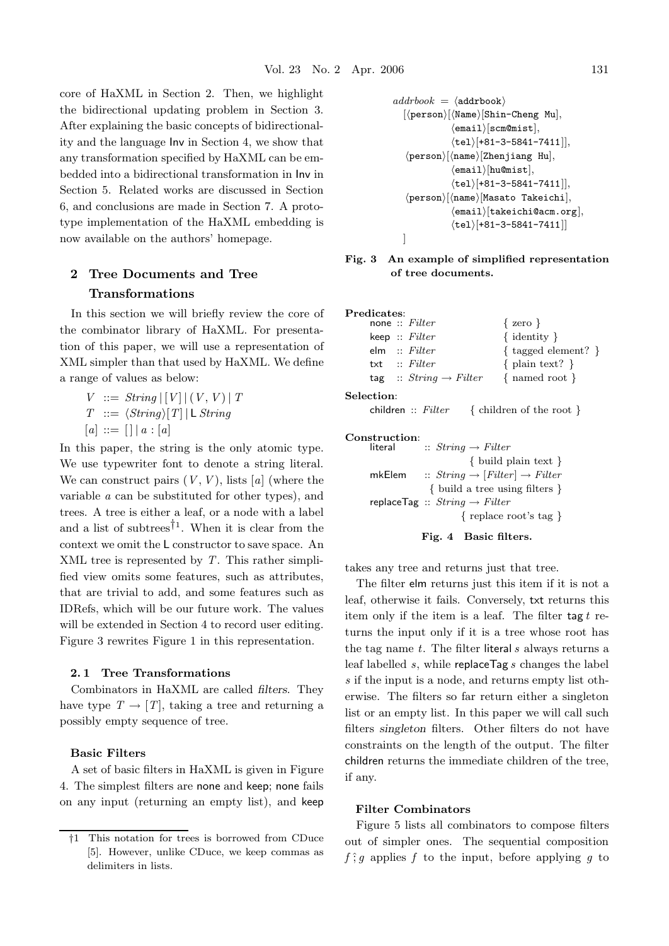core of HaXML in Section 2. Then, we highlight the bidirectional updating problem in Section 3. After explaining the basic concepts of bidirectionality and the language Inv in Section 4, we show that any transformation specified by HaXML can be embedded into a bidirectional transformation in Inv in Section 5. Related works are discussed in Section 6, and conclusions are made in Section 7. A prototype implementation of the HaXML embedding is now available on the authors' homepage.

## **2 Tree Documents and Tree Transformations**

In this section we will briefly review the core of the combinator library of HaXML. For presentation of this paper, we will use a representation of XML simpler than that used by HaXML. We define a range of values as below:

 $V := String |V| (V, V) | T$  $T \ ::= \ \langle String \rangle [T] |$  **L** *String*  $[a] ::= [] | a : [a]$ 

In this paper, the string is the only atomic type. We use typewriter font to denote a string literal. We can construct pairs  $(V, V)$ , lists [a] (where the variable *a* can be substituted for other types), and trees. A tree is either a leaf, or a node with a label and a list of subtrees<sup>†1</sup>. When it is clear from the context we omit the L constructor to save space. An XML tree is represented by *T*. This rather simplified view omits some features, such as attributes, that are trivial to add, and some features such as IDRefs, which will be our future work. The values will be extended in Section 4 to record user editing. Figure 3 rewrites Figure 1 in this representation.

#### **2. 1 Tree Transformations**

Combinators in HaXML are called *filters*. They have type  $T \to [T]$ , taking a tree and returning a possibly empty sequence of tree.

#### **Basic Filters**

A set of basic filters in HaXML is given in Figure 4. The simplest filters are none and keep; none fails on any input (returning an empty list), and keep

```
addrbook = \langle addrbook\rangle[\langle person \rangle[\langle Name \rangle[\text{Shin-Cheng Mu}],\langleemail\rangle[scm@mist],
                       \langletel\rangle[+81-3-5841-7411]],
     \langle \texttt{person} \rangle [\langle \texttt{name} \rangle [\texttt{Zhenjiang Hu}],\langleemail\rangle[hu@mist],
                       \langletel\rangle[+81-3-5841-7411]],
     \langle \texttt{person} \rangle [\langle \texttt{name} \rangle [\texttt{Masato Takeichi}],\langle \texttt{email}\rangle[takeichi@acm.org],
                       \langletel\rangle[+81-3-5841-7411]]
   ]
```
#### **Fig. 3 An example of simplified representation of tree documents.**

| Predicates:      |                                    |                                |
|------------------|------------------------------------|--------------------------------|
|                  | none :: $Filter$                   | $\{ \text{ zero } \}$          |
|                  | keep : Filter                      | $\{$ identity $\}$             |
|                  | elm :: Filter                      | $\{$ tagged element? $\}$      |
|                  | txt :: Filter                      | $\{$ plain text? $\}$          |
|                  | tag :: $String \rightarrow Filter$ | $\{$ named root $\}$           |
| $\rm Selection:$ |                                    |                                |
|                  | children :: Filter                 | $\{$ children of the root $\}$ |

| Construction: |                                                     |
|---------------|-----------------------------------------------------|
| literal       | $:: String \rightarrow Filter$                      |
|               | $\{$ build plain text $\}$                          |
| mkElem        | $:: String \rightarrow [Filter] \rightarrow Filter$ |
|               | $\{$ build a tree using filters $\}$                |
|               | replace Tag :: $String \rightarrow Filter$          |
|               | { replace root's tag }                              |
|               |                                                     |

**Fig. 4 Basic filters.**

takes any tree and returns just that tree.

The filter elm returns just this item if it is not a leaf, otherwise it fails. Conversely, txt returns this item only if the item is a leaf. The filter tag *t* returns the input only if it is a tree whose root has the tag name *t*. The filter literal *s* always returns a leaf labelled *s*, while replaceTag *s* changes the label *s* if the input is a node, and returns empty list otherwise. The filters so far return either a singleton list or an empty list. In this paper we will call such filters *singleton* filters. Other filters do not have constraints on the length of the output. The filter children returns the immediate children of the tree, if any.

#### **Filter Combinators**

Figure 5 lists all combinators to compose filters out of simpler ones. The sequential composition  $f \hat{\cdot} g$  applies *f* to the input, before applying *q* to

<sup>†</sup>1 This notation for trees is borrowed from CDuce [5]. However, unlike CDuce, we keep commas as delimiters in lists.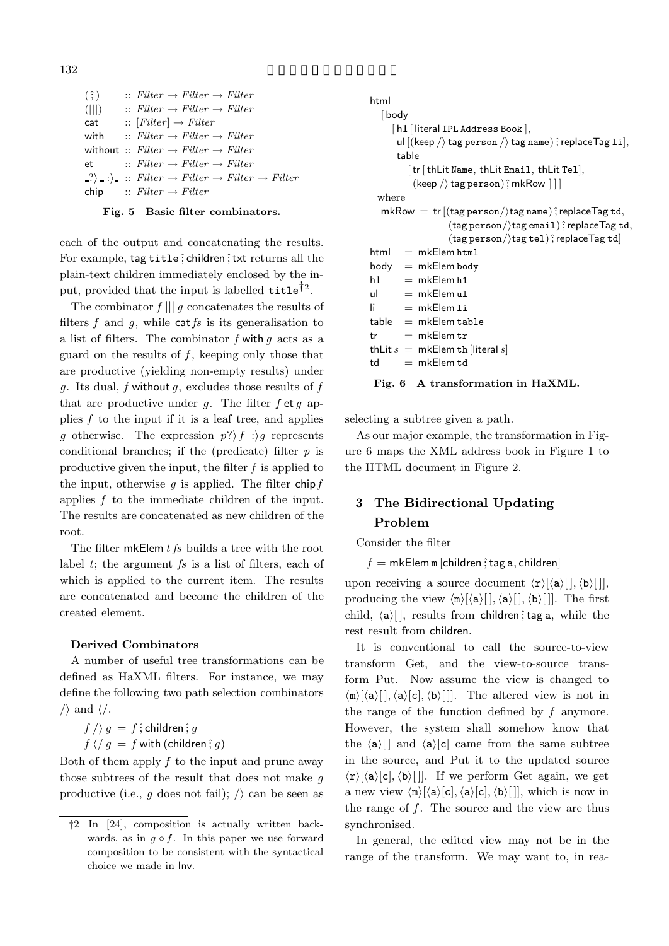```
(\hat{\cdot}) :: Filter \rightarrow Filter \rightarrow Filter
(|||) \qquad :: \nFitter \rightarrow Filter \rightarrow Filtercat :: [Filter] \rightarrow Filterwith : : Filter \rightarrow Filter \rightarrow Filterwithout :: Filter \rightarrow Filter \rightarrow Filter
et :: Filter \rightarrow Filter \rightarrow Filter
 \langle ? \rangle :: Filter \rightarrow Filter \rightarrow Filter
chip :: Filter \rightarrow Filter
```
#### **Fig. 5 Basic filter combinators.**

each of the output and concatenating the results. For example, tag title ; children ; txt returns all the plain-text children immediately enclosed by the input, provided that the input is labelled  $\text{title}^{\dagger 2}$ .

The combinator *f* ||| *g* concatenates the results of filters *f* and *g*, while cat*fs* is its generalisation to a list of filters. The combinator *f* with *g* acts as a guard on the results of *f* , keeping only those that are productive (yielding non-empty results) under *g*. Its dual, *f* without *g*, excludes those results of *f* that are productive under *g*. The filter *f* et *g* applies  $f$  to the input if it is a leaf tree, and applies *g* otherwise. The expression  $p?\uparrow f$  : g represents conditional branches; if the (predicate) filter *p* is productive given the input, the filter *f* is applied to the input, otherwise  $g$  is applied. The filter chip  $f$ applies *f* to the immediate children of the input. The results are concatenated as new children of the root.

The filter mkElem *t fs* builds a tree with the root label *t*; the argument *fs* is a list of filters, each of which is applied to the current item. The results are concatenated and become the children of the created element.

#### **Derived Combinators**

A number of useful tree transformations can be defined as HaXML filters. For instance, we may define the following two path selection combinators  $\langle \rangle$  and  $\langle \rangle$ .

 $f \, / \rangle \, g = f \, ;$  children $; g$  $f\ \langle\ \rangle\ g\ =\ f\ \textsf{with}\ (\textsf{children}\ \hat;\ g)$ 

Both of them apply *f* to the input and prune away those subtrees of the result that does not make *g* productive (i.e.,  $g$  does not fail);  $\langle \rangle$  can be seen as

```
html
   [body
      [h1 [ literal IPL Address Book ],
        ul [(keep /) tag person /) tag name) \hat{;} replaceTag 1i],
       table
           [tr [thLit Name, thLit Email, thLit Tel],
            (\textsf{keep}\, \texttt{/} \rangle tag person) \hat{\texttt{}}; mkRow \texttt{]}]
  where
   mkRow = tr [(tag person /tag name); replaceTag td,
                      (\mathop{\sf tag}\nolimits_{\sf person}/\rangletag email)\hat{\,}replace\mathop{\sf Tag}\nolimits_{\sf td},(\mathsf{tag~person}/\mathsf{tag~tel})\, \hat{} replace\mathsf{Tag~td}]html = mkElem.htmlbody = mkElem bodyh1 = mkElem h1ul = mkElem u1\mathsf{li} = \mathsf{mk}\mathsf{Elem}\mathsf{li}table = mkElem table
tr = mkElem trthLit s = mkElem th [literal s]
td = mkElem td
```
#### **Fig. 6 A transformation in HaXML.**

selecting a subtree given a path.

As our major example, the transformation in Figure 6 maps the XML address book in Figure 1 to the HTML document in Figure 2.

# **3 The Bidirectional Updating Problem**

Consider the filter

 $f = m$ kElem m [children  $\hat{f}$  tag a, children]

upon receiving a source document  $\langle \mathbf{r} \rangle [\langle \mathbf{a} \rangle], \langle \mathbf{b} \rangle$ []], producing the view  $\langle \mathbf{m} \rangle [\langle \mathbf{a} \rangle], \langle \mathbf{a} \rangle], \langle \mathbf{b} \rangle$ []]. The first child,  $\langle a \rangle$ [], results from children; tag a, while the rest result from children.

It is conventional to call the source-to-view transform Get, and the view-to-source transform Put. Now assume the view is changed to  $\langle m \rangle [\langle a \rangle [\cdot], \langle a \rangle [\cdot], \langle b \rangle$  []. The altered view is not in the range of the function defined by *f* anymore. However, the system shall somehow know that the  $\langle a \rangle$ [] and  $\langle a \rangle$ [c] came from the same subtree in the source, and Put it to the updated source  $\langle \mathbf{r} \rangle [\langle \mathbf{a} \rangle [\mathbf{c}], \langle \mathbf{b} \rangle$ . If we perform Get again, we get a new view  $\langle \mathbf{n} \rangle [\langle \mathbf{a} \rangle [\mathbf{c}], \langle \mathbf{a} \rangle [\mathbf{c}], \langle \mathbf{b} \rangle]]$ , which is now in the range of  $f$ . The source and the view are thus synchronised.

In general, the edited view may not be in the range of the transform. We may want to, in rea-

<sup>†</sup>2 In [24], composition is actually written backwards, as in  $q \circ f$ . In this paper we use forward composition to be consistent with the syntactical choice we made in Inv.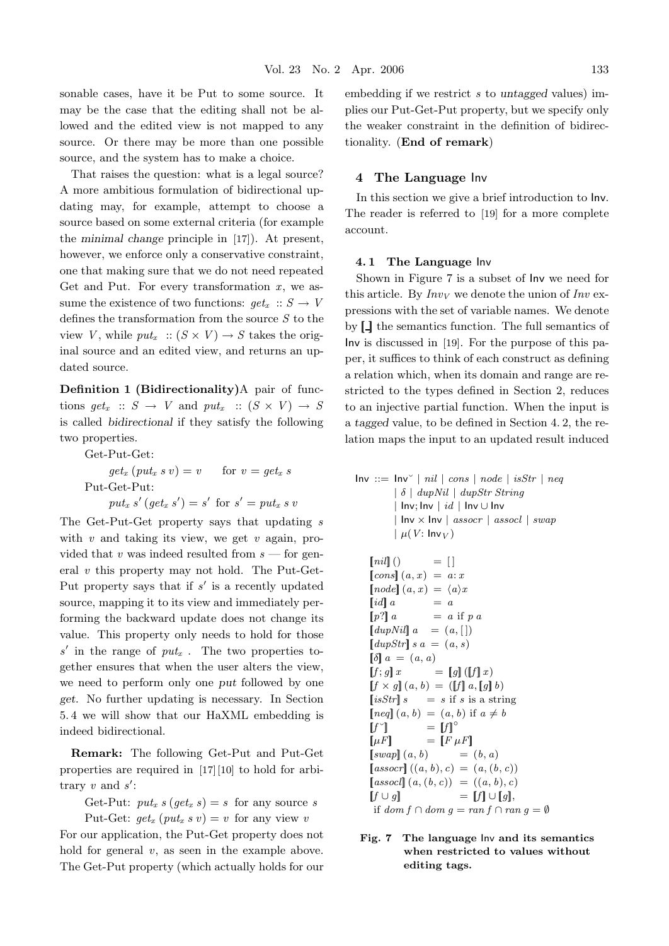sonable cases, have it be Put to some source. It may be the case that the editing shall not be allowed and the edited view is not mapped to any source. Or there may be more than one possible source, and the system has to make a choice.

That raises the question: what is a legal source? A more ambitious formulation of bidirectional updating may, for example, attempt to choose a source based on some external criteria (for example the *minimal change* principle in [17]). At present, however, we enforce only a conservative constraint, one that making sure that we do not need repeated Get and Put. For every transformation *x*, we assume the existence of two functions:  $qet_x$  ::  $S \rightarrow V$ defines the transformation from the source *S* to the view *V*, while  $put_x$ :  $(S \times V) \rightarrow S$  takes the original source and an edited view, and returns an updated source.

**Definition 1 (Bidirectionality)**A pair of functions  $qet_x :: S \rightarrow V$  and  $put_x :: (S \times V) \rightarrow S$ is called *bidirectional* if they satisfy the following two properties.

Get-Put-Get:  $get_x$   $(put_x s v) = v$  for  $v = get_x s$ Put-Get-Put:  $put_x s'(get_x s') = s'$  for  $s' = put_x s v$ 

The Get-Put-Get property says that updating *s* with *v* and taking its view, we get *v* again, provided that *v* was indeed resulted from *s* — for general *v* this property may not hold. The Put-Get-Put property says that if *s'* is a recently updated source, mapping it to its view and immediately performing the backward update does not change its value. This property only needs to hold for those *<sup>s</sup>* in the range of *putx* . The two properties together ensures that when the user alters the view, we need to perform only one *put* followed by one *get*. No further updating is necessary. In Section 5. 4 we will show that our HaXML embedding is indeed bidirectional.

**Remark:** The following Get-Put and Put-Get properties are required in [17][10] to hold for arbitrary *v* and *s* :

Get-Put:  $put_x s (get_x s) = s$  for any source *s* 

Put-Get:  $get_x$  ( $put_x s v$ ) = *v* for any view *v* 

For our application, the Put-Get property does not hold for general *v*, as seen in the example above. The Get-Put property (which actually holds for our

embedding if we restrict *s* to *untagged* values) implies our Put-Get-Put property, but we specify only the weaker constraint in the definition of bidirectionality. (**End of remark**)

#### **4 The Language** Inv

In this section we give a brief introduction to Inv. The reader is referred to [19] for a more complete account.

#### **4. 1 The Language** Inv

Shown in Figure 7 is a subset of Inv we need for this article. By  $Inv<sub>V</sub>$  we denote the union of  $Inv$  expressions with the set of variable names. We denote by  $\llbracket \cdot \rrbracket$  the semantics function. The full semantics of Inv is discussed in [19]. For the purpose of this paper, it suffices to think of each construct as defining a relation which, when its domain and range are restricted to the types defined in Section 2, reduces to an injective partial function. When the input is a *tagged* value, to be defined in Section 4. 2, the relation maps the input to an updated result induced

 $Inv ::= Inv^\vee | nil | cons | node | isStr | neg$ | δ | *dupNil* | *dupStr String* | Inv; Inv | *id* | Inv ∪ Inv | Inv × Inv | *assocr* | *assocl* | *swap*  $\mu(V: \text{Inv}_V)$ 

$$
[nil] \begin{array}{ll}\n [nil] \begin{array}{ll}\n [0,0] \end{array}\n & = & [ \end{array} \begin{array}{ll}\n [cons] \begin{array}{ll}\n (a, x) = a : x \\
 [node] \end{array}\n & = & [a \end{array}\n \begin{array}{ll}\n [id] \begin{array}{ll}\n a & = a \\
 [p^2] \end{array}\n & = & a \text{ if } p \text{ a} \\
 [downNil] \begin{array}{ll}\n a & = & (a, [\end{array}]\n \end{array}\n \begin{array}{ll}\n [downNil] \begin{array}{ll}\n a = (a, s) \\
 [f, g] \end{array}\n & = & [g] \begin{array}{ll}\n [f] \end{array}\n & = & [g] \begin{array}{ll}\n [f] \end{array}\n & = & [g] \end{array}\n \end{array}\n \begin{array}{ll}\n [if, g] \end{array}\n & = & [g] \begin{array}{ll}\n [g] \end{array}\n & = & [g] \begin{array}{ll}\n [g] \end{array}\n & = & [g] \end{array}\n \begin{array}{ll}\n [g] \end{array}\n & = & [g] \begin{array}{ll}\n [g] \end{array}\n & = & [g] \begin{array}{ll}\n [h, g] \end{array}\n & = & [h] \begin{array}{ll}\n [h, g] \end{array}\n & = & [h] \begin{array}{ll}\n [h, g] \end{array}\n & = & [h] \begin{array}{ll}\n [h, g] \end{array}\n & = & [h] \begin{array}{ll}\n [g] \end{array}\n & = & [h] \end{array}\n & = & [h] \begin{array}{ll}\n [g] \end{array}\n & = & [h] \end{array}\n & = & [h] \end{array}\n \begin{array}{ll}\n [h, g] \end{array}\n & = & [h] \end{array}\n \begin{array}{ll}\n [h, g] \end{array}\n & = & [h] \end{array}\n \begin{array}{ll}\n [h, g] \end{array}\n & = & [h] \end{array}\n \begin{array}{ll}\n [h, g] \end{array}\n & = & [h] \end{array}\n \begin{array}{ll}\n [h, g] \end{array}\n & = & [h] \end{array}\n \begin{array}{ll}\n [h, g] \end{array}\n & = & [h] \
$$

**Fig. 7 The language** Inv **and its semantics when restricted to values without editing tags.**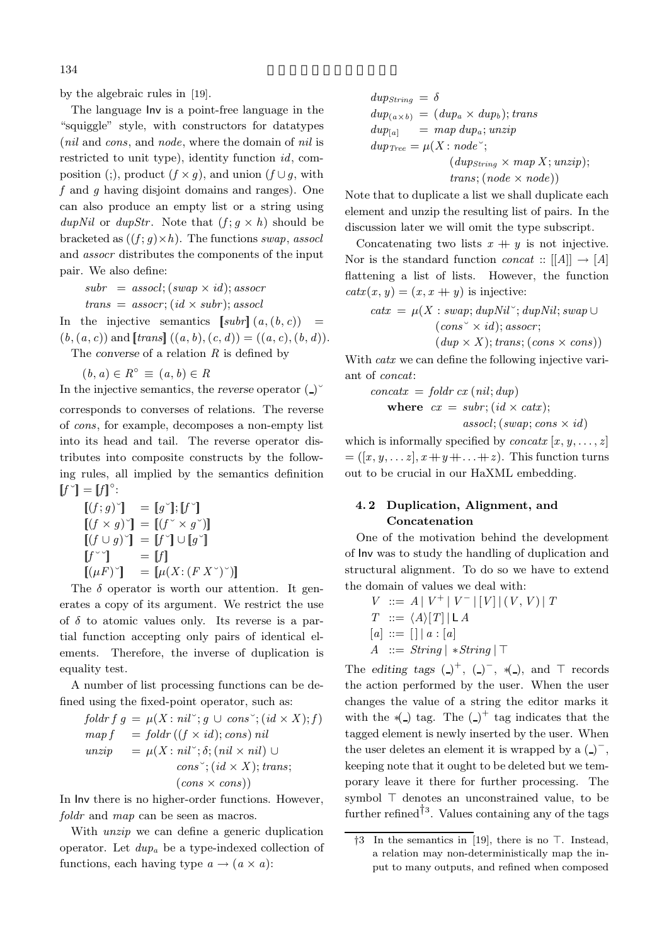by the algebraic rules in [19].

The language Inv is a point-free language in the "squiggle" style, with constructors for datatypes (*nil* and *cons*, and *node*, where the domain of *nil* is restricted to unit type), identity function *id*, composition (;), product  $(f \times g)$ , and union  $(f \cup g)$ , with *f* and *g* having disjoint domains and ranges). One can also produce an empty list or a string using *dupNil* or *dupStr*. Note that  $(f; g \times h)$  should be bracketed as  $((f; g) \times h)$ . The functions *swap*, *assocl* and *assocr* distributes the components of the input pair. We also define:

 $subr = assocl; (swap \times id); assocr$  $trans = assoc$ ;  $(id \times subr)$ ; *assocl* 

In the injective semantics  $[subr](a,(b,c)) =$  $(b, (a, c))$  and  $[trans]$   $((a, b), (c, d)) = ((a, c), (b, d)).$ 

The *converse* of a relation *R* is defined by

 $(b, a) \in R^\circ \equiv (a, b) \in R$ 

$$
= (a, b) \in R
$$

In the injective semantics, the *reverse* operator  $( )^{\circ}$ corresponds to converses of relations. The reverse of *cons*, for example, decomposes a non-empty list into its head and tail. The reverse operator distributes into composite constructs by the following rules, all implied by the semantics definition  $[f \check{\;} ] = [f]^\circ$ :

$$
[(f; g)^{\check{}}] = [g^{\check{}}]; [f^{\check{}}]
$$
  
\n
$$
[(f \times g)^{\check{}}] = [(f^{\check{}} \times g^{\check{}})]
$$
  
\n
$$
[(f \cup g)^{\check{}}] = [f^{\check{}}] \cup [g^{\check{}}]
$$
  
\n
$$
[f^{\check{}}\check{ }) = [f]
$$
  
\n
$$
[(\mu F)^{\check{}}] = [\mu(X:(FX^{\check{}})^{\check{}})]
$$

The  $\delta$  operator is worth our attention. It generates a copy of its argument. We restrict the use of  $\delta$  to atomic values only. Its reverse is a partial function accepting only pairs of identical elements. Therefore, the inverse of duplication is equality test.

A number of list processing functions can be defined using the fixed-point operator, such as:

$$
foldr f g = \mu(X: nil^{\sim}; g \cup cons^{\sim}; (id \times X); f)
$$
  
\n
$$
map f = foldr ((f \times id); cons) nil
$$
  
\n
$$
unzip = \mu(X: nil^{\sim}; \delta; (nil \times nil) \cup
$$
  
\n
$$
cons^{\sim}; (id \times X); trans;
$$
  
\n
$$
(cons \times cons))
$$

In Inv there is no higher-order functions. However, *foldr* and *map* can be seen as macros.

With *unzip* we can define a generic duplication operator. Let *dupa* be a type-indexed collection of functions, each having type  $a \rightarrow (a \times a)$ :

$$
dup_{string} = \delta
$$
  
\n
$$
dup_{(a \times b)} = (dup_a \times dup_b); trans
$$
  
\n
$$
dup_{[a]} = map \, dup_a; unzip
$$
  
\n
$$
dup_{Tree} = \mu(X : node);
$$
  
\n
$$
(dup_{String} \times map X; unzip);
$$
  
\n
$$
trans; (node \times node))
$$

Note that to duplicate a list we shall duplicate each element and unzip the resulting list of pairs. In the discussion later we will omit the type subscript.

Concatenating two lists  $x + y$  is not injective. Nor is the standard function *concat*  $::$   $[[A]] \rightarrow [A]$ flattening a list of lists. However, the function  $c^{\text{idx}}(x, y) = (x, x + y)$  is injective:

$$
catx = \mu(X : swap; dupNil'; dupNil; swap \cup (cons^{\sim} \times id); assoc;
$$

$$
(dup \times X); trans; (cons \times cons))
$$

With *catx* we can define the following injective variant of *concat*:

$$
concatx = foldr cx (nil; dup)
$$
  
where  $cx = subr$ ;  $(id \times catx)$ ;  
assoc;  $(swap; cons \times id)$ 

which is informally specified by *concatx*  $[x, y, \ldots, z]$  $=(x, y, \ldots z), x+y+\ldots+z)$ . This function turns out to be crucial in our HaXML embedding.

## **4. 2 Duplication, Alignment, and Concatenation**

One of the motivation behind the development of Inv was to study the handling of duplication and structural alignment. To do so we have to extend the domain of values we deal with:

$$
V ::= A | V^+ | V^-| [V] | (V, V) | T
$$
  
\n
$$
T ::= \langle A \rangle [T] | L A
$$
  
\n
$$
[a] ::= [] | a : [a]
$$
  
\n
$$
A ::= String | *String | T
$$

The *editing tags*  $($ )<sup>+</sup>,  $($ )<sup>-</sup>,  $($ <sup>{</sup><sub>-</sub>), and  $\top$  records the action performed by the user. When the user changes the value of a string the editor marks it with the  $\ast$ (\_) tag. The (\_)<sup>+</sup> tag indicates that the tagged element is newly inserted by the user. When the user deletes an element it is wrapped by a  $($ )<sup>-</sup>, keeping note that it ought to be deleted but we temporary leave it there for further processing. The symbol  $\top$  denotes an unconstrained value, to be further refined<sup>†3</sup>. Values containing any of the tags

 $\uparrow$ 3 In the semantics in [19], there is no  $\top$ . Instead, a relation may non-deterministically map the input to many outputs, and refined when composed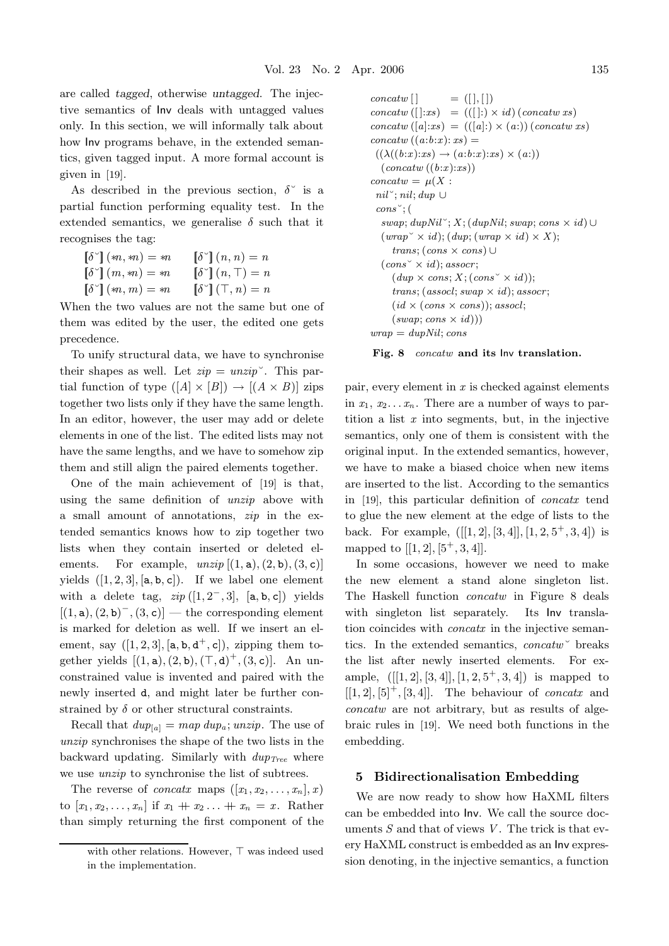are called *tagged*, otherwise *untagged*. The injective semantics of Inv deals with untagged values only. In this section, we will informally talk about how Inv programs behave, in the extended semantics, given tagged input. A more formal account is given in [19].

As described in the previous section,  $\delta^{\sim}$  is a partial function performing equality test. In the extended semantics, we generalise  $\delta$  such that it recognises the tag:

| $\llbracket \delta^\sim \rrbracket$ $(*n, *n) = *n$  | $\llbracket \delta^\smallsmile \rrbracket (n,n) = n$ |
|------------------------------------------------------|------------------------------------------------------|
| $\llbracket \delta^{\vee} \rrbracket (m, m) = m$     | $\left[\delta^{\circ}\right](n,\top) = n$            |
| $\llbracket \delta^{\vee} \rrbracket$ $(*n, m) = *n$ | $\llbracket \delta^\circ \rrbracket(\top, n) = n$    |

When the two values are not the same but one of them was edited by the user, the edited one gets precedence.

To unify structural data, we have to synchronise their shapes as well. Let  $zip = unzip$ <sup>o</sup>. This partial function of type  $([A] \times [B]) \rightarrow [(A \times B)]$  zips together two lists only if they have the same length. In an editor, however, the user may add or delete elements in one of the list. The edited lists may not have the same lengths, and we have to somehow zip them and still align the paired elements together.

One of the main achievement of [19] is that, using the same definition of *unzip* above with a small amount of annotations, *zip* in the extended semantics knows how to zip together two lists when they contain inserted or deleted elements. For example,  $unzip$   $[(1, a), (2, b), (3, c)]$ yields  $([1, 2, 3], [a, b, c])$ . If we label one element with a delete tag,  $zip([1, 2^-, 3], [a, b, c])$  yields  $[(1, \mathsf{a}), (2, \mathsf{b})^-, (3, \mathsf{c})]$  — the corresponding element is marked for deletion as well. If we insert an element, say  $([1, 2, 3], [a, b, d^+, c])$ , zipping them together yields  $[(1, a), (2, b), (\top, d)^+, (3, c)]$ . An unconstrained value is invented and paired with the newly inserted d, and might later be further constrained by  $\delta$  or other structural constraints.

Recall that  $dup_{[a]} = map \, dup_a; \, unzip.$  The use of *unzip* synchronises the shape of the two lists in the backward updating. Similarly with *dupTree* where we use *unzip* to synchronise the list of subtrees.

The reverse of *concatx* maps  $([x_1, x_2, \ldots, x_n], x)$ to  $[x_1, x_2,..., x_n]$  if  $x_1 + x_2 ... + x_n = x$ . Rather than simply returning the first component of the

```
concatw \mid \qquad = ( [ \, ], [ \, ] )concatw([[:xs) = (([:) \times id)(concatw xs))concatw([a]:xs) = (([a]:) \times (a:)) (concatw xs)concatw((a:b:x): xs) =((\lambda((b:x):xs) \rightarrow (a:b:x):xs) \times (a))(concatw ((b:x):xs))
concatw = \mu(X)nil˘; nil; dup ∪
 cons˘; (
  swap; dupNil^{\sim}; X; (dupNil; swap; cons \times id)∪
  (wrap^{\sim} \times id); (dup; (wrap \times id) \times X);trans; (cons × cons) ∪
  (cons \times id); assocr;
     (dup \times cons; X; (cons \times id));trans; (assocl; swap × id); assocr;
     (id \times (cons \times cons)); assocl;
     (swap; cons \times id))wrap = dupNil; cons
```


pair, every element in *x* is checked against elements in  $x_1, x_2, \ldots, x_n$ . There are a number of ways to partition a list *x* into segments, but, in the injective semantics, only one of them is consistent with the original input. In the extended semantics, however, we have to make a biased choice when new items are inserted to the list. According to the semantics in [19], this particular definition of *concatx* tend to glue the new element at the edge of lists to the back. For example,  $([[1, 2], [3, 4]], [1, 2, 5^+, 3, 4])$  is mapped to  $[[1, 2], [5^+, 3, 4]].$ 

In some occasions, however we need to make the new element a stand alone singleton list. The Haskell function *concatw* in Figure 8 deals with singleton list separately. Its Inv translation coincides with *concatx* in the injective semantics. In the extended semantics, *concatw*˘ breaks the list after newly inserted elements. For example,  $([1, 2], [3, 4], [1, 2, 5^+, 3, 4])$  is mapped to  $[[1, 2], [5]^+, [3, 4]].$  The behaviour of *concatx* and *concatw* are not arbitrary, but as results of algebraic rules in [19]. We need both functions in the embedding.

#### **5 Bidirectionalisation Embedding**

We are now ready to show how HaXML filters can be embedded into Inv. We call the source documents *S* and that of views *V* . The trick is that every HaXML construct is embedded as an Inv expression denoting, in the injective semantics, a function

with other relations. However,  $\top$  was indeed used in the implementation.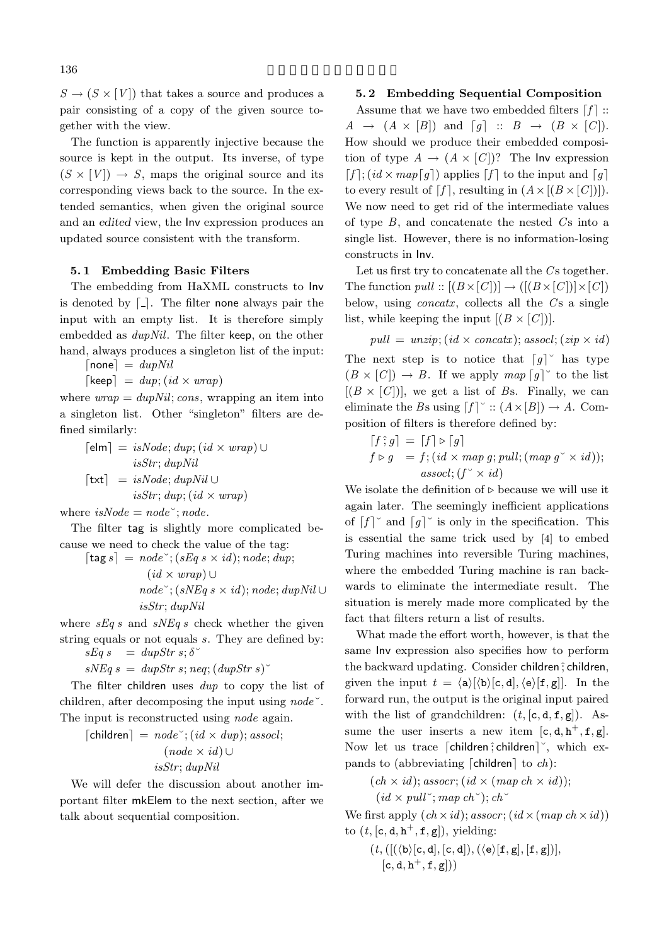$S \to (S \times [V])$  that takes a source and produces a pair consisting of a copy of the given source together with the view.

The function is apparently injective because the source is kept in the output. Its inverse, of type  $(S \times [V]) \rightarrow S$ , maps the original source and its corresponding views back to the source. In the extended semantics, when given the original source and an *edited* view, the Inv expression produces an updated source consistent with the transform.

#### **5. 1 Embedding Basic Filters**

The embedding from HaXML constructs to Inv is denoted by  $\lceil \cdot \rceil$ . The filter none always pair the input with an empty list. It is therefore simply embedded as *dupNil*. The filter keep, on the other hand, always produces a singleton list of the input:

 $[none] = dupNil$ 

 $\lceil \text{keep} \rceil = \text{dup}$ ;  $(\text{id} \times \text{wrap})$ 

where  $wrap = dupNil$ ; *cons*, wrapping an item into a singleton list. Other "singleton" filters are defined similarly:

$$
\begin{aligned} \n[\mathsf{elm}] &= isNode; \, \text{dup}; (\text{id} \times \text{wrap}) \cup \\ \n \text{isStr}; \, \text{dupNil} \\ \n[\mathsf{txt}] &= \text{isNode}; \, \text{dupNil} \cup \\ \n \text{isStr}; \, \text{dup}; (\text{id} \times \text{wrap}) \n\end{aligned}
$$

where  $isNode = node$ <sup> $\check{ }$ </sup>;  $node$ .

The filter tag is slightly more complicated because we need to check the value of the tag:

 $\lceil \text{tag } s \rceil = node$  ;  $(sEq \ s \times id); node; \text{dup};$ 

$$
(id \times wrap) \cup
$$
  

$$
node^{\sim}; (sNEq \ s \times id); node; dupNil \cup
$$
  

$$
isStr; dupNil
$$

where *sEq s* and *sNEq s* check whether the given string equals or not equals *s*. They are defined by:  $sEq s = dupStr s; \delta^{\sim}$ 

$$
sNEq \, s \, = \, dupStr \, s; \, neq; (dupStr \, s)
$$

The filter children uses *dup* to copy the list of children, after decomposing the input using *node*˘. The input is reconstructed using *node* again.

$$
\begin{aligned} \text{[children]} &= node\text{''}; (id \times dup); associated; \\ (node \times id) \cup \\ isStr; dupNil \end{aligned}
$$

We will defer the discussion about another important filter mkElem to the next section, after we talk about sequential composition.

#### **5. 2 Embedding Sequential Composition**

Assume that we have two embedded filters  $\lceil f \rceil$  ::  $A \rightarrow (A \times [B])$  and  $[g] :: B \rightarrow (B \times [C])$ . How should we produce their embedded composition of type  $A \to (A \times [C])$ ? The Inv expression  $[f]$ ;  $(id \times map[g])$  applies  $[f]$  to the input and  $[g]$ to every result of  $[f]$ , resulting in  $(A \times [(B \times [C])])$ . We now need to get rid of the intermediate values of type  $B$ , and concatenate the nested  $C<sub>S</sub>$  into a single list. However, there is no information-losing constructs in Inv.

Let us first try to concatenate all the Cs together. The function  $pull :: [(B \times [C])] \rightarrow ([(B \times [C])] \times [C])]$ below, using *concatx*, collects all the *C*'s a single list, while keeping the input  $[(B \times |C|)]$ .

 $pull = unzip; (id \times concat; (sasocl; (zip \times id))$ The next step is to notice that  $\lceil g \rceil$  has type  $(B \times [C]) \rightarrow B$ . If we apply  $map [g]$ <sup>o</sup> to the list  $[(B \times [C])]$ , we get a list of *Bs*. Finally, we can eliminate the *Bs* using  $[f]$  ::  $(A \times [B]) \rightarrow A$ . Composition of filters is therefore defined by:

$$
[f \hat{\,} g] = [f] \triangleright [g]
$$
  

$$
f \triangleright g = f; (id \times map g; pull; (map g^{\vee} \times id));
$$
  

$$
associated; (f^{\vee} \times id)
$$

We isolate the definition of  $\triangleright$  because we will use it again later. The seemingly inefficient applications of  $f \mid^{\circ}$  and  $\lceil g \rceil^{\circ}$  is only in the specification. This is essential the same trick used by [4] to embed Turing machines into reversible Turing machines, where the embedded Turing machine is ran backwards to eliminate the intermediate result. The situation is merely made more complicated by the fact that filters return a list of results.

What made the effort worth, however, is that the same Inv expression also specifies how to perform the backward updating. Consider children; children, given the input  $t = \langle a \rangle [\langle b \rangle [\mathbf{c}, \mathbf{d}], \langle e \rangle [\mathbf{f}, \mathbf{g}]]$ . In the forward run, the output is the original input paired with the list of grandchildren:  $(t, [\mathsf{c}, \mathsf{d}, \mathsf{f}, \mathsf{g}])$ . Assume the user inserts a new item  $[c, d, h^+, f, g]$ . Now let us trace  $\lceil$  children $\rceil$  children $\rceil$   $\ldots$  which expands to (abbreviating [children] to *ch*):

 $(ch \times id);$  *assocr*;  $(id \times (map ch \times id));$  $(id \times pull \rightarrow map ch \rightarrow \cdot ch \rightarrow$ 

We first apply  $(ch \times id)$ ; *assocr*;  $(id \times (map ch \times id))$ to  $(t, [c, d, h^+, f, g])$ , yielding:

 $(t,([(\langle \texttt{b}\rangle [\texttt{c},\texttt{d}],[\texttt{c},\texttt{d}]),(\langle \texttt{e}\rangle [\texttt{f},\texttt{g}],[\texttt{f},\texttt{g}])],$  $[c, d, h^+, f, g])$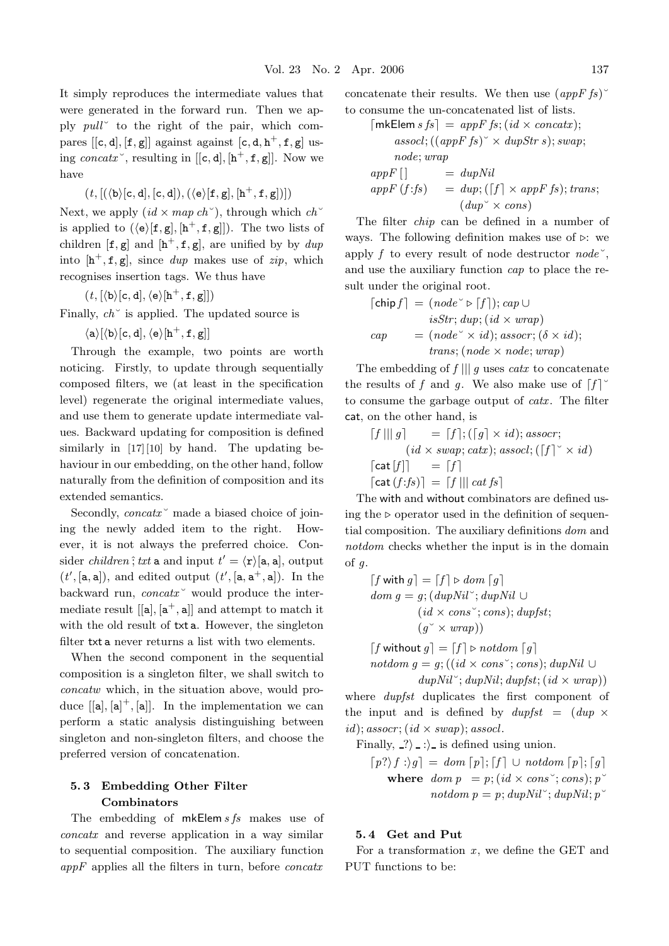It simply reproduces the intermediate values that were generated in the forward run. Then we apply *pull*˘ to the right of the pair, which compares  $[[c, d], [f, g]]$  against against  $[c, d, h^+, f, g]$  using *concatx*<sup> $\checkmark$ </sup>, resulting in [[**c**, **d**], [**h**<sup> $+$ </sup>, **f**, **g**]]. Now we have

$$
(\mathit{t},[(\langle b\rangle[\mathtt{c},\mathtt{d}],[\mathtt{c},\mathtt{d}]),(\langle e\rangle[\mathtt{f},\mathtt{g}],[h^+,\mathtt{f},\mathtt{g}])])
$$

Next, we apply  $(id \times map ch^{\sim})$ , through which  $ch^{\sim}$ is applied to  $({\langle e \rangle}[f,g],[h^+,f,g]])$ . The two lists of children  $[\mathbf{f}, \mathbf{g}]$  and  $[\mathbf{h}^+, \mathbf{f}, \mathbf{g}]$ , are unified by by  $\text{d}up$ into  $[\mathbf{h}^+, \mathbf{f}, \mathbf{g}]$ , since *dup* makes use of *zip*, which recognises insertion tags. We thus have

$$
(\mathit{t},[\langle\mathtt{b}\rangle[\mathtt{c},\mathtt{d}],\langle\mathtt{e}\rangle[\mathtt{h}^+,\mathtt{f},\mathtt{g}]])
$$

Finally, *ch*˘ is applied. The updated source is

 $\langle {\tt a} \rangle [\langle {\tt b} \rangle [{\tt c}, {\tt d}], \langle {\tt e} \rangle [{\tt h}^+, {\tt f}, {\tt g}]]$ 

Through the example, two points are worth noticing. Firstly, to update through sequentially composed filters, we (at least in the specification level) regenerate the original intermediate values, and use them to generate update intermediate values. Backward updating for composition is defined similarly in [17][10] by hand. The updating behaviour in our embedding, on the other hand, follow naturally from the definition of composition and its extended semantics.

Secondly, *concatx*  $\degree$  made a biased choice of joining the newly added item to the right. However, it is not always the preferred choice. Consider *children*; *txt* a and input  $t' = \langle \mathbf{r} \rangle$ [a, a], output  $(t', [a, a]),$  and edited output  $(t', [a, a^+, a]).$  In the backward run, *concatx* vould produce the intermediate result  $[[a], [a^+, a]]$  and attempt to match it with the old result of txt a. However, the singleton filter txt a never returns a list with two elements.

When the second component in the sequential composition is a singleton filter, we shall switch to *concatw* which, in the situation above, would produce  $[[a],[a]^+, [a]]$ . In the implementation we can perform a static analysis distinguishing between singleton and non-singleton filters, and choose the preferred version of concatenation.

#### **5. 3 Embedding Other Filter Combinators**

The embedding of mkElem *s fs* makes use of *concatx* and reverse application in a way similar to sequential composition. The auxiliary function *appF* applies all the filters in turn, before *concatx*

concatenate their results. We then use  $(appFfs)$ <sup> $\check{ }$ </sup> to consume the un-concatenated list of lists.

$$
[\mathsf{mkElements} s s] = appF s; (id \times concat x);
$$
  
assoc!; ((appF s)^ \times dupStr s); swap;  
node; wrap  
appF [] = dupNil  
appF (f:fs) = dup; ([f] \times appF fs); trans;  
(dup^ \times cons)

The filter *chip* can be defined in a number of ways. The following definition makes use of  $\triangleright$ : we apply *f* to every result of node destructor *node*˘, and use the auxiliary function *cap* to place the result under the original root.

$$
\begin{aligned} \n\lceil \text{chip } f \rceil &= (node^{\vee} \triangleright [f]); \, cap \cup \\
& isStr; \, dup; \, (id \times wrap) \\
cap &= (node^{\vee} \times id); \, assoc; \, (\delta \times id); \\
& trans; (node \times node; wrap) \n\end{aligned}
$$

The embedding of *f* ||| *g* uses *catx* to concatenate the results of f and g. We also make use of  $[f]$ <sup> $\circ$ </sup> to consume the garbage output of *catx*. The filter cat, on the other hand, is

$$
[f \mid ||g] = [f]; ([g] \times id); assoc;
$$
  
\n
$$
(id \times swap; catx); associ; ([f] \times id)
$$
  
\n
$$
[cat [f]] = [f]
$$
  
\n
$$
[cat (f:fs)] = [f ||] cat fs]
$$

The with and without combinators are defined using the  $\triangleright$  operator used in the definition of sequential composition. The auxiliary definitions *dom* and *notdom* checks whether the input is in the domain of *g*.

$$
[f with g] = [f] \triangleright dom [g]
$$
  
dom g = g; (dupNil<sup>°</sup>; dupNil  $\cup$   
(id  $\times$  cons<sup>°</sup>; cons); dupfst;  
(g<sup>°</sup>  $\times$  wrap))

 $\lceil f \text{ without } g \rceil = \lceil f \rceil \triangleright \text{not} \, \text{dom} \, \lceil g \rceil$ *notdom g* = *g*;  $((id \times cons \degree; cons); dupNil \cup$ 

$$
\overline{dupNil}^{\sim}; \overline{dupNil}; \overline{dupfst}; (\overline{id} \times \overline{wrap}))
$$

where *dupfst* duplicates the first component of the input and is defined by  $dupfst = (dup \times$  $id$ ; *assocr*;  $(id \times swap)$ ; *assocl*.

Finally,  $\langle . \rangle$   $\langle . \rangle$  is defined using union.

 $[p? \mid f : \rangle g$  = *dom*  $[p]; [f] \cup \text{notdom} [p]; [g]$ where  $dom p = p$ ;  $(id \times cons \check{ }; cons); p$ <sup>v</sup>  $not dom p = p$ ;  $dupNil \cong \{upNil \cong \}$ 

#### **5. 4 Get and Put**

For a transformation *x*, we define the GET and PUT functions to be: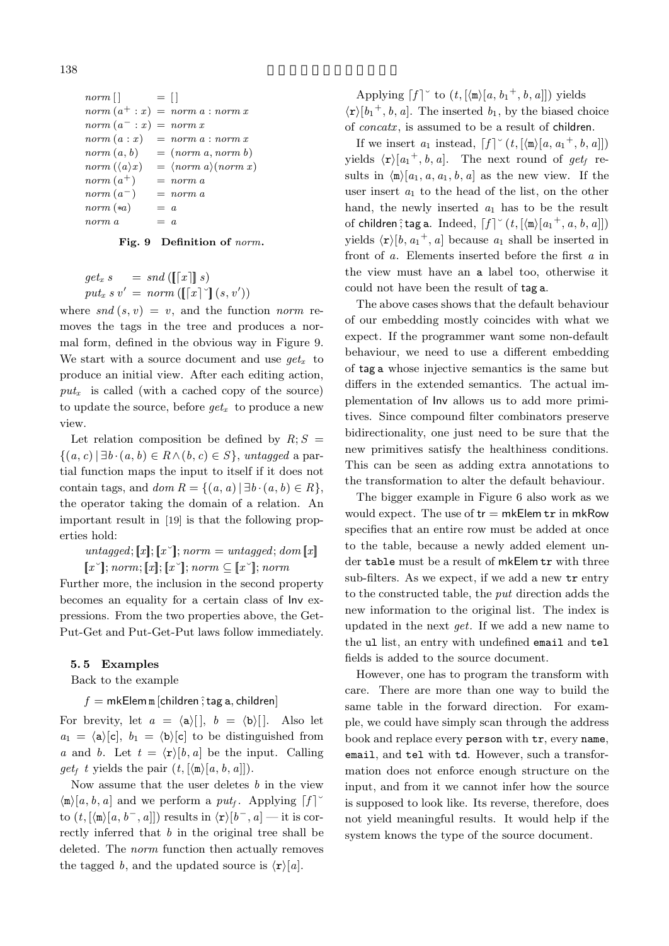$norm\left[\right]$  =  $\left[\right]$  $norm(a^+ : x) = norm a : norm x$  $norm(a^-: x) = norm x$  $norm(a:x) = norm(a:norm x)$  $norm(a, b) = (norm a, norm b)$ *norm*  $(\langle a \rangle x)$  $x) = \langle norm \space a \rangle (norm \space x)$  $norm(a^{+})$  = *norm a*  $norm(a^{-})$  = *norm a*  $norm(*a) = a$  $norm a = a$ 

#### **Fig. 9 Definition of** *norm***.**

$$
get_x s = snd ([[[x]] s)
$$
  

$$
put_x s v' = norm ([[[x]] [s, v'])
$$

where  $\text{snd}(s, v) = v$ , and the function *norm* removes the tags in the tree and produces a normal form, defined in the obvious way in Figure 9. We start with a source document and use *getx* to produce an initial view. After each editing action,  $put_x$  is called (with a cached copy of the source) to update the source, before  $qet_x$  to produce a new view.

Let relation composition be defined by  $R; S =$ {(*a*, *c*) | ∃*b* · (*a*, *b*) ∈ *R*∧(*b*, *c*) ∈ *S*}, *untagged* a partial function maps the input to itself if it does not contain tags, and  $dom R = \{(a, a) | \exists b \cdot (a, b) \in R\},\$ the operator taking the domain of a relation. An important result in [19] is that the following properties hold:

 $untaged; [x]; [x^{\sim}]; norm = untaged; dom [x]$  $[x\checkmark]$ ; *norm*;  $[x]$ ;  $[x\checkmark]$ ; *norm*  $\subseteq [x\checkmark]$ ; *norm* 

Further more, the inclusion in the second property becomes an equality for a certain class of Inv expressions. From the two properties above, the Get-Put-Get and Put-Get-Put laws follow immediately.

#### **5. 5 Examples**

Back to the example

#### $f = m$ kElem m [children  $\hat{i}$  tag a, children]

For brevity, let  $a = \langle a \rangle [ \, \vert, b = \langle b \rangle [ \, \vert. \,$  Also let  $a_1 = \langle a \rangle[c], b_1 = \langle b \rangle[c]$  to be distinguished from *a* and *b*. Let  $t = \langle \mathbf{r} \rangle [b, a]$  be the input. Calling  $get_f$  *t* yields the pair  $(t, [\langle m \rangle [a, b, a]]).$ 

Now assume that the user deletes *b* in the view  $\langle m \rangle [a, b, a]$  and we perform a *put<sub>f</sub>*. Applying  $\lceil f \rceil$ <sup>o</sup> to  $(t, [\langle \mathbf{m} \rangle[a, b^-, a]])$  results in  $\langle \mathbf{r} \rangle[b^-, a]$  — it is correctly inferred that *b* in the original tree shall be deleted. The *norm* function then actually removes the tagged *b*, and the updated source is  $\langle \mathbf{r} \rangle [a]$ .

Applying  $\lceil f \rceil^{\circ}$  to  $(t, [\langle \mathbf{m} \rangle[a, b_1^+, b, a]])$  yields  $\langle \mathbf{r} \rangle [b_1^+, b, a]$ . The inserted  $b_1$ , by the biased choice of *concatx*, is assumed to be a result of children.

If we insert  $a_1$  instead,  $\lceil f \rceil^{\circ} (t, \lceil \langle m \rangle [a, a_1^+, b, a]])$ yields  $\langle \mathbf{r} \rangle [a_1^+, b, a]$ . The next round of *get<sub>f</sub>* results in  $\langle m \rangle [a_1, a, a_1, b, a]$  as the new view. If the user insert *a*<sup>1</sup> to the head of the list, on the other hand, the newly inserted *a*<sup>1</sup> has to be the result of children $\hat{z}$ ; tag a. Indeed,  $\left[f\right]^\sim(t, \left[\langle \mathbf{m} \rangle[a_1^+, a, b, a]\right])$ yields  $\langle \mathbf{r} \rangle [b, a_1^+, a]$  because  $a_1$  shall be inserted in front of *a*. Elements inserted before the first *a* in the view must have an a label too, otherwise it could not have been the result of tag a.

The above cases shows that the default behaviour of our embedding mostly coincides with what we expect. If the programmer want some non-default behaviour, we need to use a different embedding of tag a whose injective semantics is the same but differs in the extended semantics. The actual implementation of Inv allows us to add more primitives. Since compound filter combinators preserve bidirectionality, one just need to be sure that the new primitives satisfy the healthiness conditions. This can be seen as adding extra annotations to the transformation to alter the default behaviour.

The bigger example in Figure 6 also work as we would expect. The use of  $tr = m kE$ lem  $tr$  in mkRow specifies that an entire row must be added at once to the table, because a newly added element under table must be a result of mkElem tr with three sub-filters. As we expect, if we add a new tr entry to the constructed table, the *put* direction adds the new information to the original list. The index is updated in the next *get*. If we add a new name to the ul list, an entry with undefined email and tel fields is added to the source document.

However, one has to program the transform with care. There are more than one way to build the same table in the forward direction. For example, we could have simply scan through the address book and replace every person with tr, every name, email, and tel with td. However, such a transformation does not enforce enough structure on the input, and from it we cannot infer how the source is supposed to look like. Its reverse, therefore, does not yield meaningful results. It would help if the system knows the type of the source document.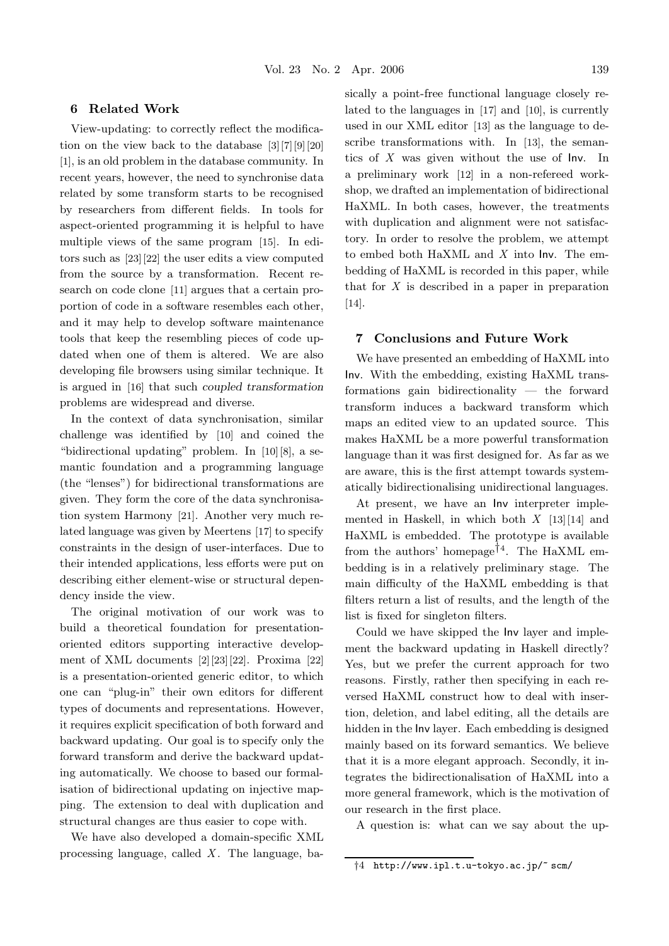#### **6 Related Work**

View-updating: to correctly reflect the modification on the view back to the database [3][7][9][20] [1], is an old problem in the database community. In recent years, however, the need to synchronise data related by some transform starts to be recognised by researchers from different fields. In tools for aspect-oriented programming it is helpful to have multiple views of the same program [15]. In editors such as [23][22] the user edits a view computed from the source by a transformation. Recent research on code clone [11] argues that a certain proportion of code in a software resembles each other, and it may help to develop software maintenance tools that keep the resembling pieces of code updated when one of them is altered. We are also developing file browsers using similar technique. It is argued in [16] that such *coupled transformation* problems are widespread and diverse.

In the context of data synchronisation, similar challenge was identified by [10] and coined the "bidirectional updating" problem. In [10][8], a semantic foundation and a programming language (the "lenses") for bidirectional transformations are given. They form the core of the data synchronisation system Harmony [21]. Another very much related language was given by Meertens [17] to specify constraints in the design of user-interfaces. Due to their intended applications, less efforts were put on describing either element-wise or structural dependency inside the view.

The original motivation of our work was to build a theoretical foundation for presentationoriented editors supporting interactive development of XML documents [2][23][22]. Proxima [22] is a presentation-oriented generic editor, to which one can "plug-in" their own editors for different types of documents and representations. However, it requires explicit specification of both forward and backward updating. Our goal is to specify only the forward transform and derive the backward updating automatically. We choose to based our formalisation of bidirectional updating on injective mapping. The extension to deal with duplication and structural changes are thus easier to cope with.

We have also developed a domain-specific XML processing language, called *X* . The language, basically a point-free functional language closely related to the languages in [17] and [10], is currently used in our XML editor [13] as the language to describe transformations with. In [13], the semantics of *X* was given without the use of Inv. In a preliminary work [12] in a non-refereed workshop, we drafted an implementation of bidirectional HaXML. In both cases, however, the treatments with duplication and alignment were not satisfactory. In order to resolve the problem, we attempt to embed both HaXML and *X* into Inv. The embedding of HaXML is recorded in this paper, while that for *X* is described in a paper in preparation [14].

#### **7 Conclusions and Future Work**

We have presented an embedding of HaXML into Inv. With the embedding, existing HaXML transformations gain bidirectionality — the forward transform induces a backward transform which maps an edited view to an updated source. This makes HaXML be a more powerful transformation language than it was first designed for. As far as we are aware, this is the first attempt towards systematically bidirectionalising unidirectional languages.

At present, we have an Inv interpreter implemented in Haskell, in which both *X* [13][14] and HaXML is embedded. The prototype is available from the authors' homepage<sup>†4</sup>. The HaXML embedding is in a relatively preliminary stage. The main difficulty of the HaXML embedding is that filters return a list of results, and the length of the list is fixed for singleton filters.

Could we have skipped the Inv layer and implement the backward updating in Haskell directly? Yes, but we prefer the current approach for two reasons. Firstly, rather then specifying in each reversed HaXML construct how to deal with insertion, deletion, and label editing, all the details are hidden in the Inv layer. Each embedding is designed mainly based on its forward semantics. We believe that it is a more elegant approach. Secondly, it integrates the bidirectionalisation of HaXML into a more general framework, which is the motivation of our research in the first place.

A question is: what can we say about the up-

<sup>†</sup>4 http://www.ipl.t.u-tokyo.ac.jp/~ scm/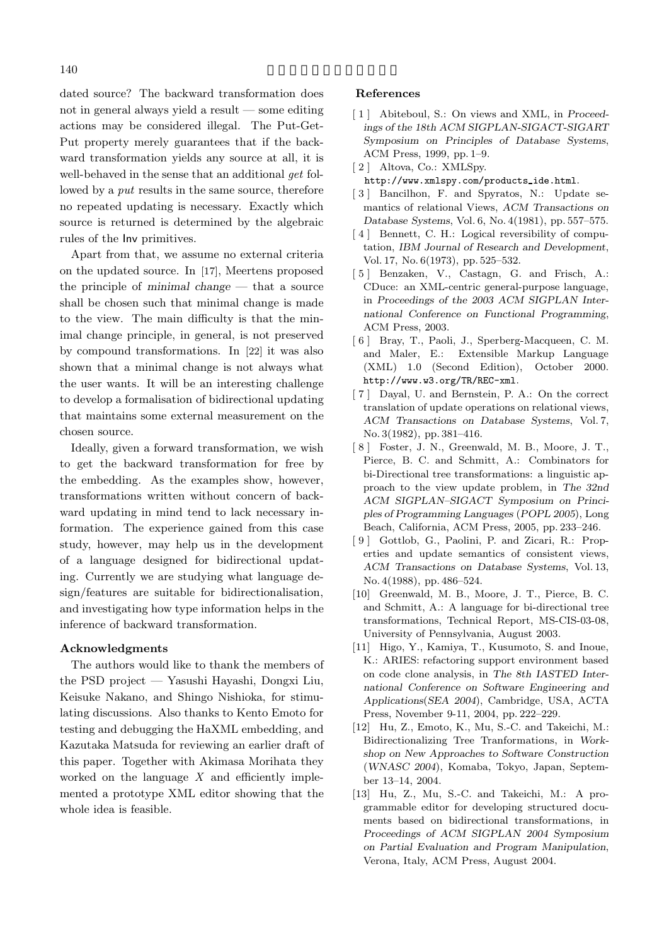dated source? The backward transformation does not in general always yield a result — some editing actions may be considered illegal. The Put-Get-Put property merely guarantees that if the backward transformation yields any source at all, it is well-behaved in the sense that an additional *get* followed by a *put* results in the same source, therefore no repeated updating is necessary. Exactly which source is returned is determined by the algebraic rules of the Inv primitives.

Apart from that, we assume no external criteria on the updated source. In [17], Meertens proposed the principle of *minimal change* — that a source shall be chosen such that minimal change is made to the view. The main difficulty is that the minimal change principle, in general, is not preserved by compound transformations. In [22] it was also shown that a minimal change is not always what the user wants. It will be an interesting challenge to develop a formalisation of bidirectional updating that maintains some external measurement on the chosen source.

Ideally, given a forward transformation, we wish to get the backward transformation for free by the embedding. As the examples show, however, transformations written without concern of backward updating in mind tend to lack necessary information. The experience gained from this case study, however, may help us in the development of a language designed for bidirectional updating. Currently we are studying what language design/features are suitable for bidirectionalisation, and investigating how type information helps in the inference of backward transformation.

#### **Acknowledgments**

The authors would like to thank the members of the PSD project — Yasushi Hayashi, Dongxi Liu, Keisuke Nakano, and Shingo Nishioka, for stimulating discussions. Also thanks to Kento Emoto for testing and debugging the HaXML embedding, and Kazutaka Matsuda for reviewing an earlier draft of this paper. Together with Akimasa Morihata they worked on the language *X* and efficiently implemented a prototype XML editor showing that the whole idea is feasible.

#### **References**

- [ 1 ] Abiteboul, S.: On views and XML, in *Proceedings of the 18th ACM SIGPLAN-SIGACT-SIGART Symposium on Principles of Database Systems*, ACM Press, 1999, pp. 1–9.
- [ 2 ] Altova, Co.: XMLSpy.
- http://www.xmlspy.com/products ide.html.
- [ 3 ] Bancilhon, F. and Spyratos, N.: Update semantics of relational Views, *ACM Transactions on Database Systems*, Vol. 6, No. 4(1981), pp. 557–575.
- [4] Bennett, C. H.: Logical reversibility of computation, *IBM Journal of Research and Development*, Vol. 17, No. 6(1973), pp. 525–532.
- [ 5 ] Benzaken, V., Castagn, G. and Frisch, A.: CDuce: an XML-centric general-purpose language, in *Proceedings of the 2003 ACM SIGPLAN International Conference on Functional Programming*, ACM Press, 2003.
- [ 6 ] Bray, T., Paoli, J., Sperberg-Macqueen, C. M. and Maler, E.: Extensible Markup Language (XML) 1.0 (Second Edition), October 2000. http://www.w3.org/TR/REC-xml.
- [ 7 ] Dayal, U. and Bernstein, P. A.: On the correct translation of update operations on relational views, *ACM Transactions on Database Systems*, Vol. 7, No. 3(1982), pp. 381–416.
- [ 8 ] Foster, J. N., Greenwald, M. B., Moore, J. T., Pierce, B. C. and Schmitt, A.: Combinators for bi-Directional tree transformations: a linguistic approach to the view update problem, in *The 32nd ACM SIGPLAN–SIGACT Symposium on Principles of Programming Languages* (*POPL 2005*), Long Beach, California, ACM Press, 2005, pp. 233–246.
- [ 9 ] Gottlob, G., Paolini, P. and Zicari, R.: Properties and update semantics of consistent views, *ACM Transactions on Database Systems*, Vol. 13, No. 4(1988), pp. 486–524.
- [10] Greenwald, M. B., Moore, J. T., Pierce, B. C. and Schmitt, A.: A language for bi-directional tree transformations, Technical Report, MS-CIS-03-08, University of Pennsylvania, August 2003.
- [11] Higo, Y., Kamiya, T., Kusumoto, S. and Inoue, K.: ARIES: refactoring support environment based on code clone analysis, in *The 8th IASTED International Conference on Software Engineering and Applications*(*SEA 2004*), Cambridge, USA, ACTA Press, November 9-11, 2004, pp. 222–229.
- [12] Hu, Z., Emoto, K., Mu, S.-C. and Takeichi, M.: Bidirectionalizing Tree Tranformations, in *Workshop on New Approaches to Software Construction* (*WNASC 2004*), Komaba, Tokyo, Japan, September 13–14, 2004.
- [13] Hu, Z., Mu, S.-C. and Takeichi, M.: A programmable editor for developing structured documents based on bidirectional transformations, in *Proceedings of ACM SIGPLAN 2004 Symposium on Partial Evaluation and Program Manipulation*, Verona, Italy, ACM Press, August 2004.